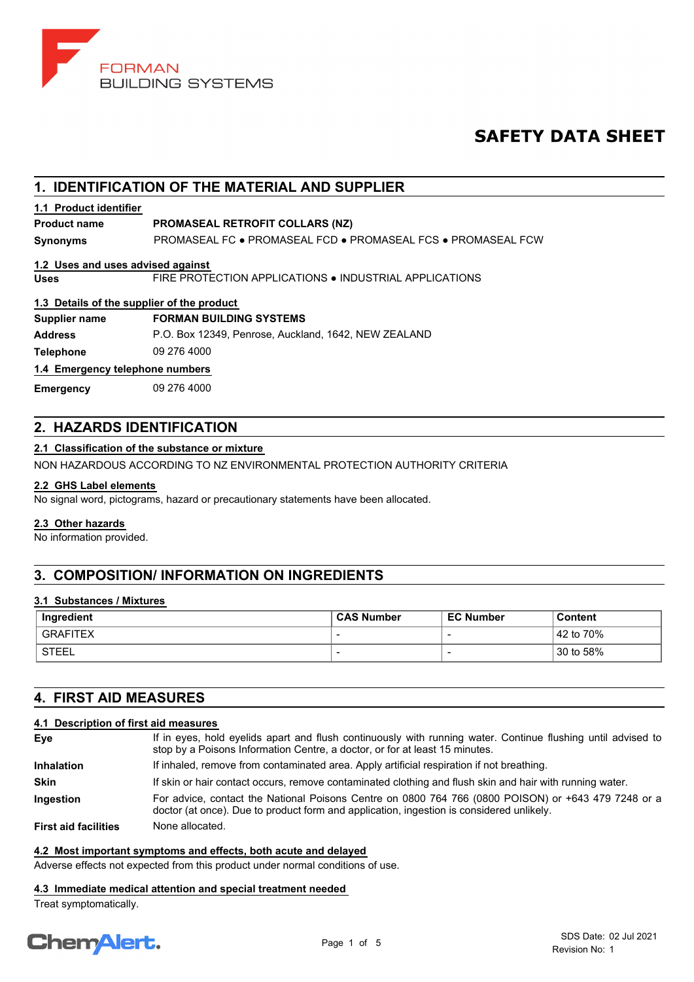

# **SAFETY DATA SHEET**

# **1. IDENTIFICATION OF THE MATERIAL AND SUPPLIER**

# **1.1 Product identifier**

# **Product name PROMASEAL RETROFIT COLLARS (NZ)**

**Synonyms** PROMASEAL FC ● PROMASEAL FCD ● PROMASEAL FCS ● PROMASEAL FCW

## **1.2 Uses and uses advised against**

**Uses** FIRE PROTECTION APPLICATIONS ● INDUSTRIAL APPLICATIONS

## **1.3 Details of the supplier of the product**

# **Supplier name FORMAN BUILDING SYSTEMS**

**Address** P.O. Box 12349, Penrose, Auckland, 1642, NEW ZEALAND

**Telephone** 09 276 4000

## **1.4 Emergency telephone numbers**

**Emergency** 09 276 4000

# **2. HAZARDS IDENTIFICATION**

## **2.1 Classification of the substance or mixture**

NON HAZARDOUS ACCORDING TO NZ ENVIRONMENTAL PROTECTION AUTHORITY CRITERIA

## **2.2 GHS Label elements**

No signal word, pictograms, hazard or precautionary statements have been allocated.

## **2.3 Other hazards**

No information provided.

# **3. COMPOSITION/ INFORMATION ON INGREDIENTS**

## **3.1 Substances / Mixtures**

| Ingredient | <b>CAS Number</b> | <b>EC Number</b> | Content              |
|------------|-------------------|------------------|----------------------|
| GRAFITEX   | -                 |                  | $\frac{1}{2}$ to 70% |
| STEEL      |                   |                  | 30 to 58%            |

# **4. FIRST AID MEASURES**

# **4.1 Description of first aid measures**

| Eye                         | If in eyes, hold eyelids apart and flush continuously with running water. Continue flushing until advised to<br>stop by a Poisons Information Centre, a doctor, or for at least 15 minutes.     |
|-----------------------------|-------------------------------------------------------------------------------------------------------------------------------------------------------------------------------------------------|
| <b>Inhalation</b>           | If inhaled, remove from contaminated area. Apply artificial respiration if not breathing.                                                                                                       |
| <b>Skin</b>                 | If skin or hair contact occurs, remove contaminated clothing and flush skin and hair with running water.                                                                                        |
| <b>Ingestion</b>            | For advice, contact the National Poisons Centre on 0800 764 766 (0800 POISON) or +643 479 7248 or a<br>doctor (at once). Due to product form and application, ingestion is considered unlikely. |
| <b>First aid facilities</b> | None allocated.                                                                                                                                                                                 |

## **4.2 Most important symptoms and effects, both acute and delayed**

Adverse effects not expected from this product under normal conditions of use.

## **4.3 Immediate medical attention and special treatment needed**

Treat symptomatically.

# **ChemAlert.**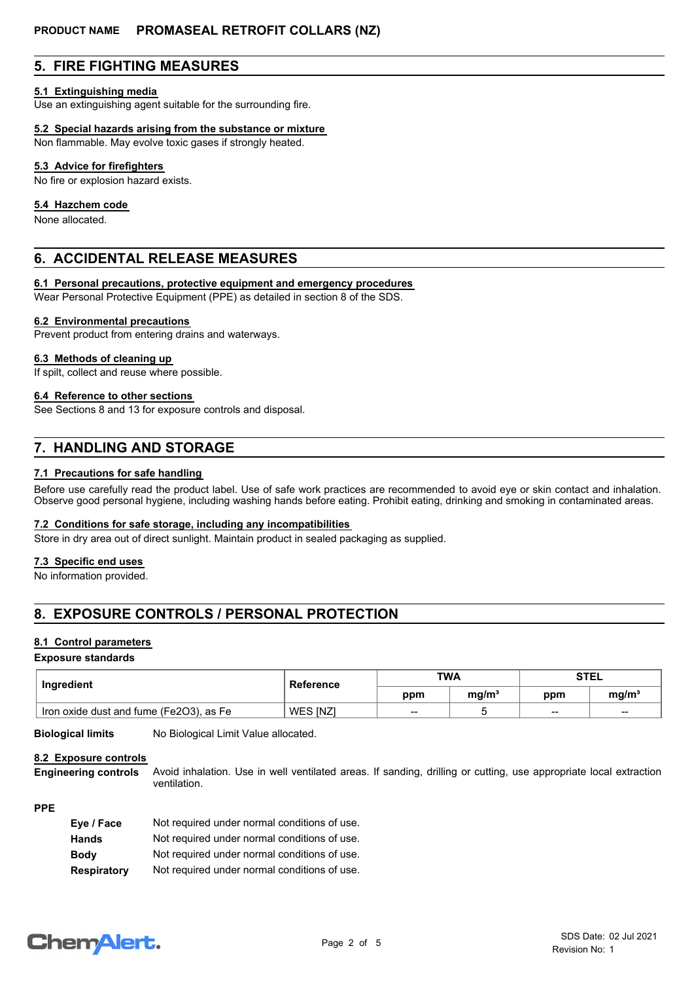# **5. FIRE FIGHTING MEASURES**

## **5.1 Extinguishing media**

Use an extinguishing agent suitable for the surrounding fire.

## **5.2 Special hazards arising from the substance or mixture**

Non flammable. May evolve toxic gases if strongly heated.

## **5.3 Advice for firefighters**

No fire or explosion hazard exists.

## **5.4 Hazchem code**

None allocated.

# **6. ACCIDENTAL RELEASE MEASURES**

## **6.1 Personal precautions, protective equipment and emergency procedures**

Wear Personal Protective Equipment (PPE) as detailed in section 8 of the SDS.

## **6.2 Environmental precautions**

Prevent product from entering drains and waterways.

#### **6.3 Methods of cleaning up**

If spilt, collect and reuse where possible.

## **6.4 Reference to other sections**

See Sections 8 and 13 for exposure controls and disposal.

# **7. HANDLING AND STORAGE**

## **7.1 Precautions for safe handling**

Before use carefully read the product label. Use of safe work practices are recommended to avoid eye or skin contact and inhalation. Observe good personal hygiene, including washing hands before eating. Prohibit eating, drinking and smoking in contaminated areas.

## **7.2 Conditions for safe storage, including any incompatibilities**

Store in dry area out of direct sunlight. Maintain product in sealed packaging as supplied.

## **7.3 Specific end uses**

No information provided.

# **8. EXPOSURE CONTROLS / PERSONAL PROTECTION**

## **8.1 Control parameters**

#### **Exposure standards**

| Ingredient                              | Reference | <b>TWA</b> |                   | <b>STEL</b> |                   |
|-----------------------------------------|-----------|------------|-------------------|-------------|-------------------|
|                                         |           | ppm        | ma/m <sup>3</sup> | ppm         | mq/m <sup>3</sup> |
| Iron oxide dust and fume (Fe2O3), as Fe | WES INZI  | $- -$      |                   | $\sim$      | $\sim$            |

**Biological limits** No Biological Limit Value allocated.

## **8.2 Exposure controls**

Avoid inhalation. Use in well ventilated areas. If sanding, drilling or cutting, use appropriate local extraction ventilation. **Engineering controls**

# **PPE**

| Eye / Face         | Not required under normal conditions of use. |
|--------------------|----------------------------------------------|
| <b>Hands</b>       | Not required under normal conditions of use. |
| <b>Body</b>        | Not required under normal conditions of use. |
| <b>Respiratory</b> | Not required under normal conditions of use. |

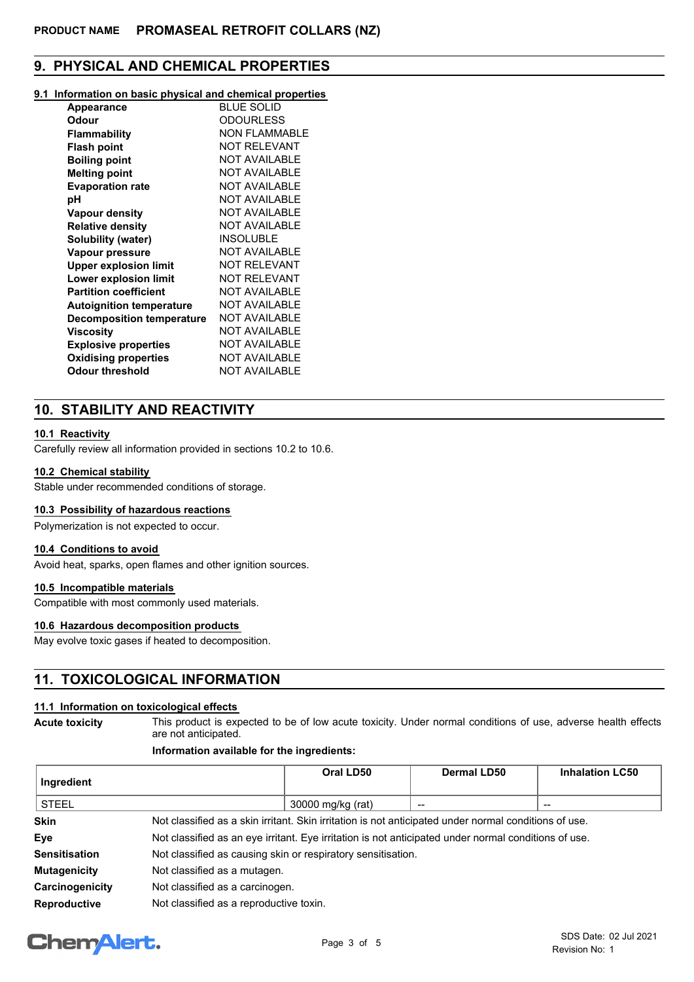# **9. PHYSICAL AND CHEMICAL PROPERTIES**

## **9.1 Information on basic physical and chemical properties**

| BLUE SOLID           |
|----------------------|
| <b>ODOURLESS</b>     |
| <b>NON FLAMMABLE</b> |
| <b>NOT RELEVANT</b>  |
| <b>NOT AVAILABLE</b> |
| <b>NOT AVAILABLE</b> |
| <b>NOT AVAILABLE</b> |
| NOT AVAILABLE        |
| NOT AVAII ABI F      |
| <b>NOT AVAILABLE</b> |
| INSOLUBLE            |
| NOT AVAII ABI F      |
| <b>NOT RELEVANT</b>  |
| <b>NOT RELEVANT</b>  |
| <b>NOT AVAILABLE</b> |
| <b>NOT AVAILABLE</b> |
| NOT AVAILABLE        |
| NOT AVAILABLE        |
| NOT AVAILABLE        |
| <b>NOT AVAILABLE</b> |
| NOT AVAILABLE        |
|                      |

# **10. STABILITY AND REACTIVITY**

# **10.1 Reactivity**

Carefully review all information provided in sections 10.2 to 10.6.

## **10.2 Chemical stability**

Stable under recommended conditions of storage.

## **10.3 Possibility of hazardous reactions**

Polymerization is not expected to occur.

## **10.4 Conditions to avoid**

Avoid heat, sparks, open flames and other ignition sources.

# **10.5 Incompatible materials**

Compatible with most commonly used materials.

# **10.6 Hazardous decomposition products**

May evolve toxic gases if heated to decomposition.

# **11. TOXICOLOGICAL INFORMATION**

## **11.1 Information on toxicological effects**

**Acute toxicity**

This product is expected to be of low acute toxicity. Under normal conditions of use, adverse health effects are not anticipated.

# **Information available for the ingredients:**

| Ingredient          |                                                                                                       | Oral LD50         | <b>Dermal LD50</b> | <b>Inhalation LC50</b> |
|---------------------|-------------------------------------------------------------------------------------------------------|-------------------|--------------------|------------------------|
| <b>STEEL</b>        |                                                                                                       | 30000 mg/kg (rat) |                    | $- -$                  |
| <b>Skin</b>         | Not classified as a skin irritant. Skin irritation is not anticipated under normal conditions of use. |                   |                    |                        |
| Eye                 | Not classified as an eye irritant. Eye irritation is not anticipated under normal conditions of use.  |                   |                    |                        |
| Sensitisation       | Not classified as causing skin or respiratory sensitisation.                                          |                   |                    |                        |
| <b>Mutagenicity</b> | Not classified as a mutagen.                                                                          |                   |                    |                        |
| Carcinogenicity     | Not classified as a carcinogen.                                                                       |                   |                    |                        |
| Reproductive        | Not classified as a reproductive toxin.                                                               |                   |                    |                        |

# **ChemAlert.**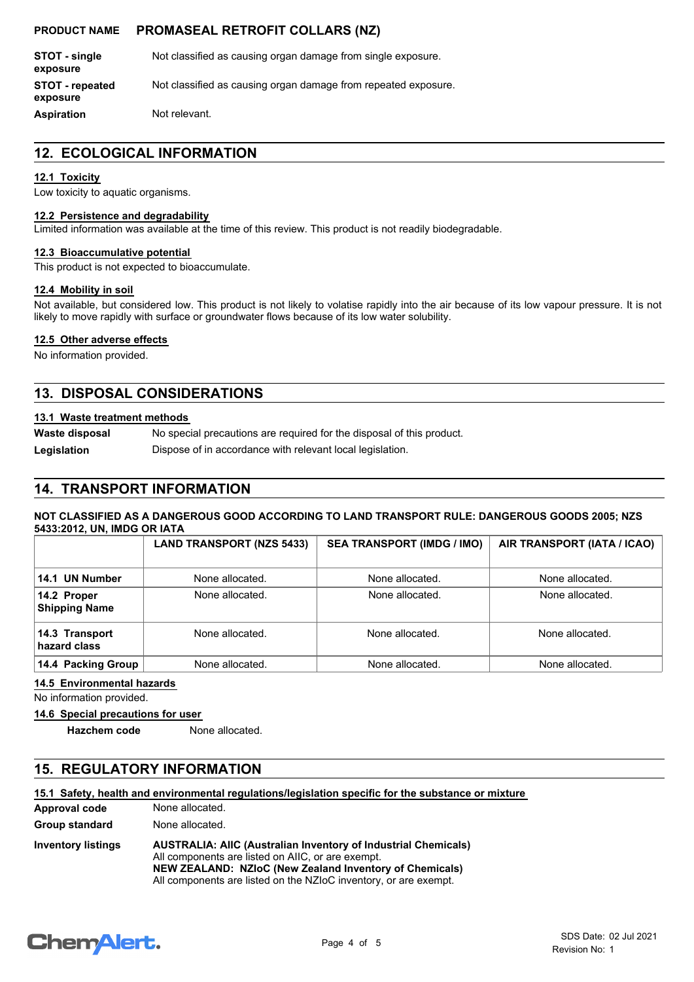# **PRODUCT NAME PROMASEAL RETROFIT COLLARS (NZ)**

| STOT - single<br>exposure          | Not classified as causing organ damage from single exposure.   |
|------------------------------------|----------------------------------------------------------------|
| <b>STOT</b> - repeated<br>exposure | Not classified as causing organ damage from repeated exposure. |
| <b>Aspiration</b>                  | Not relevant.                                                  |

# **12. ECOLOGICAL INFORMATION**

## **12.1 Toxicity**

Low toxicity to aquatic organisms.

#### **12.2 Persistence and degradability**

Limited information was available at the time of this review. This product is not readily biodegradable.

## **12.3 Bioaccumulative potential**

This product is not expected to bioaccumulate.

## **12.4 Mobility in soil**

Not available, but considered low. This product is not likely to volatise rapidly into the air because of its low vapour pressure. It is not likely to move rapidly with surface or groundwater flows because of its low water solubility.

## **12.5 Other adverse effects**

No information provided.

# **13. DISPOSAL CONSIDERATIONS**

## **13.1 Waste treatment methods**

No special precautions are required for the disposal of this product. **Waste disposal**

Legislation **Dispose of in accordance with relevant local legislation.** 

# **14. TRANSPORT INFORMATION**

## **NOT CLASSIFIED AS A DANGEROUS GOOD ACCORDING TO LAND TRANSPORT RULE: DANGEROUS GOODS 2005; NZS 5433:2012, UN, IMDG OR IATA**

|                                     | <b>LAND TRANSPORT (NZS 5433)</b> | <b>SEA TRANSPORT (IMDG / IMO)</b> | AIR TRANSPORT (IATA / ICAO) |
|-------------------------------------|----------------------------------|-----------------------------------|-----------------------------|
| 14.1 UN Number                      | None allocated.                  | None allocated.                   | None allocated.             |
| 14.2 Proper<br><b>Shipping Name</b> | None allocated.                  | None allocated.                   | None allocated.             |
| 14.3 Transport<br>hazard class      | None allocated.                  | None allocated.                   | None allocated.             |
| 14.4 Packing Group                  | None allocated.                  | None allocated.                   | None allocated.             |

## **14.5 Environmental hazards**

No information provided.

**14.6 Special precautions for user**

**Hazchem code** None allocated.

# **15. REGULATORY INFORMATION**

## **15.1 Safety, health and environmental regulations/legislation specific for the substance or mixture**

| Approval code             | None allocated.                                                                                                                                                                                                                                           |
|---------------------------|-----------------------------------------------------------------------------------------------------------------------------------------------------------------------------------------------------------------------------------------------------------|
| Group standard            | None allocated.                                                                                                                                                                                                                                           |
| <b>Inventory listings</b> | <b>AUSTRALIA: AIIC (Australian Inventory of Industrial Chemicals)</b><br>All components are listed on AIIC, or are exempt.<br>NEW ZEALAND: NZIoC (New Zealand Inventory of Chemicals)<br>All components are listed on the NZIoC inventory, or are exempt. |

# **ChemAlert.**